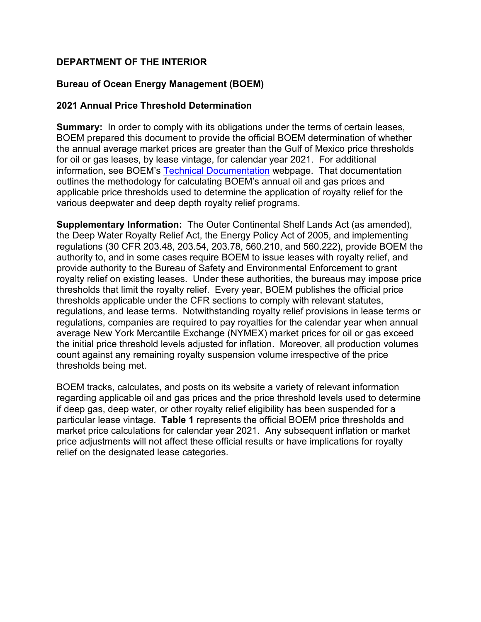## **DEPARTMENT OF THE INTERIOR**

## **Bureau of Ocean Energy Management (BOEM)**

## **2021 Annual Price Threshold Determination**

**Summary:** In order to comply with its obligations under the terms of certain leases, BOEM prepared this document to provide the official BOEM determination of whether the annual average market prices are greater than the Gulf of Mexico price thresholds for oil or gas leases, by lease vintage, for calendar year 2021. For additional information, see BOEM's Technical Documentation webpage. That documentation outlines the methodology for calculating BOEM's annual oil and gas prices and applicable price thresholds used to determine the application of royalty relief for the various deepwater and deep depth royalty relief programs.

**Supplementary Information:** The Outer Continental Shelf Lands Act (as amended), the Deep Water Royalty Relief Act, the Energy Policy Act of 2005, and implementing regulations (30 CFR 203.48, 203.54, 203.78, 560.210, and 560.222), provide BOEM the authority to, and in some cases require BOEM to issue leases with royalty relief, and provide authority to the Bureau of Safety and Environmental Enforcement to grant royalty relief on existing leases. Under these authorities, the bureaus may impose price thresholds that limit the royalty relief. Every year, BOEM publishes the official price thresholds applicable under the CFR sections to comply with relevant statutes, regulations, and lease terms. Notwithstanding royalty relief provisions in lease terms or regulations, companies are required to pay royalties for the calendar year when annual average New York Mercantile Exchange (NYMEX) market prices for oil or gas exceed the initial price threshold levels adjusted for inflation. Moreover, all production volumes count against any remaining royalty suspension volume irrespective of the price thresholds being met.

BOEM tracks, calculates, and posts on its website a variety of relevant information regarding applicable oil and gas prices and the price threshold levels used to determine if deep gas, deep water, or other royalty relief eligibility has been suspended for a particular lease vintage. **Table 1** represents the official BOEM price thresholds and market price calculations for calendar year 2021. Any subsequent inflation or market price adjustments will not affect these official results or have implications for royalty relief on the designated lease categories.